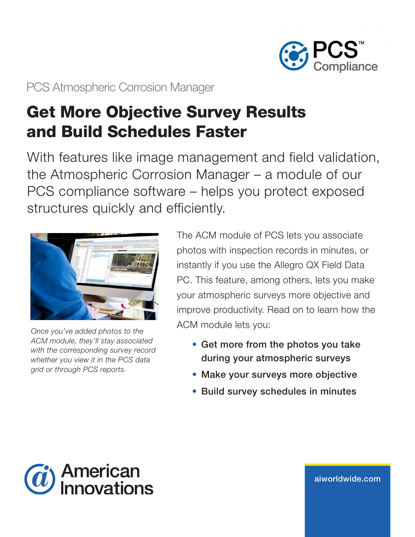

PCS Atmospheric Corrosion Manager

# Get More Objective Survey Results and Build Schedules Faster

With features like image management and field validation, the Atmospheric Corrosion Manager – a module of our PCS compliance software – helps you protect exposed structures quickly and efficiently.



*Once you've added photos to the ACM module, they'll stay associated with the corresponding survey record whether you view it in the PCS data grid or through PCS reports.*

The ACM module of PCS lets you associate photos with inspection records in minutes, or instantly if you use the Allegro QX Field Data PC. This feature, among others, lets you make your atmospheric surveys more objective and improve productivity. Read on to learn how the ACM module lets you:

- Get more from the photos you take during your atmospheric surveys
- Make your surveys more objective
- Build survey schedules in minutes